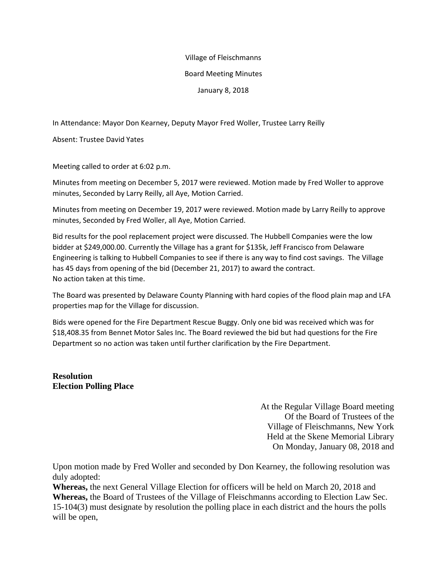## Village of Fleischmanns

## Board Meeting Minutes

## January 8, 2018

In Attendance: Mayor Don Kearney, Deputy Mayor Fred Woller, Trustee Larry Reilly

Absent: Trustee David Yates

Meeting called to order at 6:02 p.m.

Minutes from meeting on December 5, 2017 were reviewed. Motion made by Fred Woller to approve minutes, Seconded by Larry Reilly, all Aye, Motion Carried.

Minutes from meeting on December 19, 2017 were reviewed. Motion made by Larry Reilly to approve minutes, Seconded by Fred Woller, all Aye, Motion Carried.

Bid results for the pool replacement project were discussed. The Hubbell Companies were the low bidder at \$249,000.00. Currently the Village has a grant for \$135k, Jeff Francisco from Delaware Engineering is talking to Hubbell Companies to see if there is any way to find cost savings. The Village has 45 days from opening of the bid (December 21, 2017) to award the contract. No action taken at this time.

The Board was presented by Delaware County Planning with hard copies of the flood plain map and LFA properties map for the Village for discussion.

Bids were opened for the Fire Department Rescue Buggy. Only one bid was received which was for \$18,408.35 from Bennet Motor Sales Inc. The Board reviewed the bid but had questions for the Fire Department so no action was taken until further clarification by the Fire Department.

## **Resolution Election Polling Place**

At the Regular Village Board meeting Of the Board of Trustees of the Village of Fleischmanns, New York Held at the Skene Memorial Library On Monday, January 08, 2018 and

Upon motion made by Fred Woller and seconded by Don Kearney, the following resolution was duly adopted:

**Whereas,** the next General Village Election for officers will be held on March 20, 2018 and **Whereas,** the Board of Trustees of the Village of Fleischmanns according to Election Law Sec. 15-104(3) must designate by resolution the polling place in each district and the hours the polls will be open,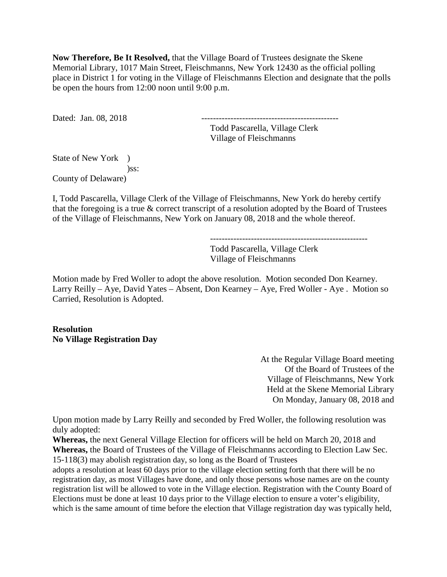**Now Therefore, Be It Resolved,** that the Village Board of Trustees designate the Skene Memorial Library, 1017 Main Street, Fleischmanns, New York 12430 as the official polling place in District 1 for voting in the Village of Fleischmanns Election and designate that the polls be open the hours from 12:00 noon until 9:00 p.m.

Dated: Jan. 08, 2018

 Todd Pascarella, Village Clerk Village of Fleischmanns

State of New York ) )ss: County of Delaware)

I, Todd Pascarella, Village Clerk of the Village of Fleischmanns, New York do hereby certify that the foregoing is a true & correct transcript of a resolution adopted by the Board of Trustees of the Village of Fleischmanns, New York on January 08, 2018 and the whole thereof.

------------------------------------------------------

 Todd Pascarella, Village Clerk Village of Fleischmanns

Motion made by Fred Woller to adopt the above resolution. Motion seconded Don Kearney. Larry Reilly – Aye, David Yates – Absent, Don Kearney – Aye, Fred Woller - Aye . Motion so Carried, Resolution is Adopted.

**Resolution No Village Registration Day** 

> At the Regular Village Board meeting Of the Board of Trustees of the Village of Fleischmanns, New York Held at the Skene Memorial Library On Monday, January 08, 2018 and

Upon motion made by Larry Reilly and seconded by Fred Woller, the following resolution was duly adopted:

**Whereas,** the next General Village Election for officers will be held on March 20, 2018 and **Whereas,** the Board of Trustees of the Village of Fleischmanns according to Election Law Sec. 15-118(3) may abolish registration day, so long as the Board of Trustees

adopts a resolution at least 60 days prior to the village election setting forth that there will be no registration day, as most Villages have done, and only those persons whose names are on the county registration list will be allowed to vote in the Village election. Registration with the County Board of Elections must be done at least 10 days prior to the Village election to ensure a voter's eligibility, which is the same amount of time before the election that Village registration day was typically held,